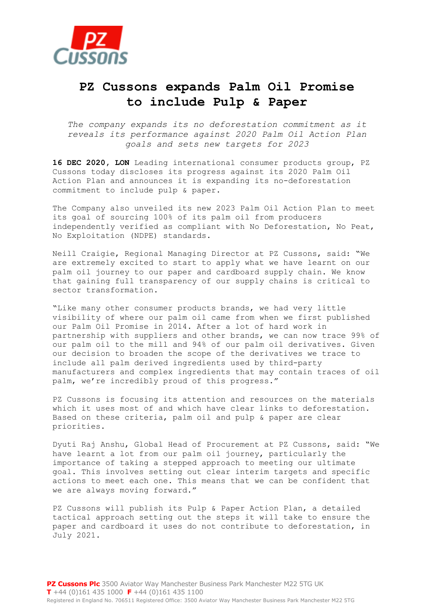

## **PZ Cussons expands Palm Oil Promise to include Pulp & Paper**

*The company expands its no deforestation commitment as it reveals its performance against 2020 Palm Oil Action Plan goals and sets new targets for 2023*

**16 DEC 2020, LON** Leading international consumer products group, PZ Cussons today discloses its progress against its 2020 Palm Oil Action Plan and announces it is expanding its no-deforestation commitment to include pulp & paper.

The Company also unveiled its new 2023 Palm Oil Action Plan to meet its goal of sourcing 100% of its palm oil from producers independently verified as compliant with No Deforestation, No Peat, No Exploitation (NDPE) standards.

Neill Craigie, Regional Managing Director at PZ Cussons, said: "We are extremely excited to start to apply what we have learnt on our palm oil journey to our paper and cardboard supply chain. We know that gaining full transparency of our supply chains is critical to sector transformation.

"Like many other consumer products brands, we had very little visibility of where our palm oil came from when we first published our Palm Oil Promise in 2014. After a lot of hard work in partnership with suppliers and other brands, we can now trace 99% of our palm oil to the mill and 94% of our palm oil derivatives. Given our decision to broaden the scope of the derivatives we trace to include all palm derived ingredients used by third-party manufacturers and complex ingredients that may contain traces of oil palm, we're incredibly proud of this progress."

PZ Cussons is focusing its attention and resources on the materials which it uses most of and which have clear links to deforestation. Based on these criteria, palm oil and pulp & paper are clear priorities.

Dyuti Raj Anshu, Global Head of Procurement at PZ Cussons, said: "We have learnt a lot from our palm oil journey, particularly the importance of taking a stepped approach to meeting our ultimate goal. This involves setting out clear interim targets and specific actions to meet each one. This means that we can be confident that we are always moving forward."

PZ Cussons will publish its Pulp & Paper Action Plan, a detailed tactical approach setting out the steps it will take to ensure the paper and cardboard it uses do not contribute to deforestation, in July 2021.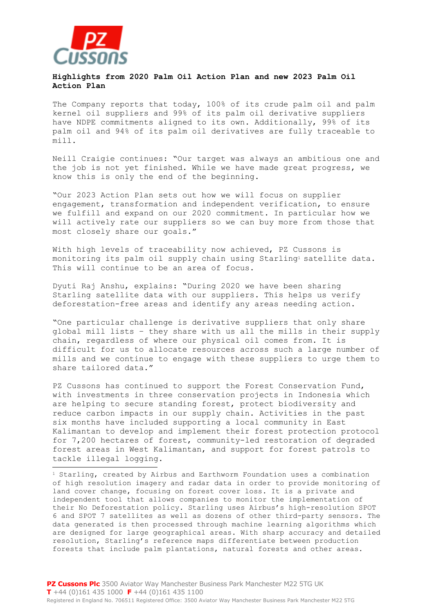

È,

## **Highlights from 2020 Palm Oil Action Plan and new 2023 Palm Oil Action Plan**

The Company reports that today, 100% of its crude palm oil and palm kernel oil suppliers and 99% of its palm oil derivative suppliers have NDPE commitments aligned to its own. Additionally, 99% of its palm oil and 94% of its palm oil derivatives are fully traceable to mill.

Neill Craigie continues: "Our target was always an ambitious one and the job is not yet finished. While we have made great progress, we know this is only the end of the beginning.

"Our 2023 Action Plan sets out how we will focus on supplier engagement, transformation and independent verification, to ensure we fulfill and expand on our 2020 commitment. In particular how we will actively rate our suppliers so we can buy more from those that most closely share our goals."

With high levels of traceability now achieved, PZ Cussons is monitoring its palm oil supply chain using Starling<sup>1</sup> satellite data. This will continue to be an area of focus.

Dyuti Raj Anshu, explains: "During 2020 we have been sharing Starling satellite data with our suppliers. This helps us verify deforestation-free areas and identify any areas needing action.

"One particular challenge is derivative suppliers that only share global mill lists – they share with us all the mills in their supply chain, regardless of where our physical oil comes from. It is difficult for us to allocate resources across such a large number of mills and we continue to engage with these suppliers to urge them to share tailored data."

PZ Cussons has continued to support the Forest Conservation Fund, with investments in three conservation projects in Indonesia which are helping to secure standing forest, protect biodiversity and reduce carbon impacts in our supply chain. Activities in the past six months have included supporting a local community in East Kalimantan to develop and implement their forest protection protocol for 7,200 hectares of forest, community-led restoration of degraded forest areas in West Kalimantan, and support for forest patrols to tackle illegal logging.

<sup>1</sup> Starling, created by Airbus and Earthworm Foundation uses a combination of high resolution imagery and radar data in order to provide monitoring of land cover change, focusing on forest cover loss. It is a private and independent tool that allows companies to monitor the implementation of their No Deforestation policy. Starling uses Airbus's high-resolution SPOT 6 and SPOT 7 satellites as well as dozens of other third-party sensors. The data generated is then processed through machine learning algorithms which are designed for large geographical areas. With sharp accuracy and detailed resolution, Starling's reference maps differentiate between production forests that include palm plantations, natural forests and other areas.